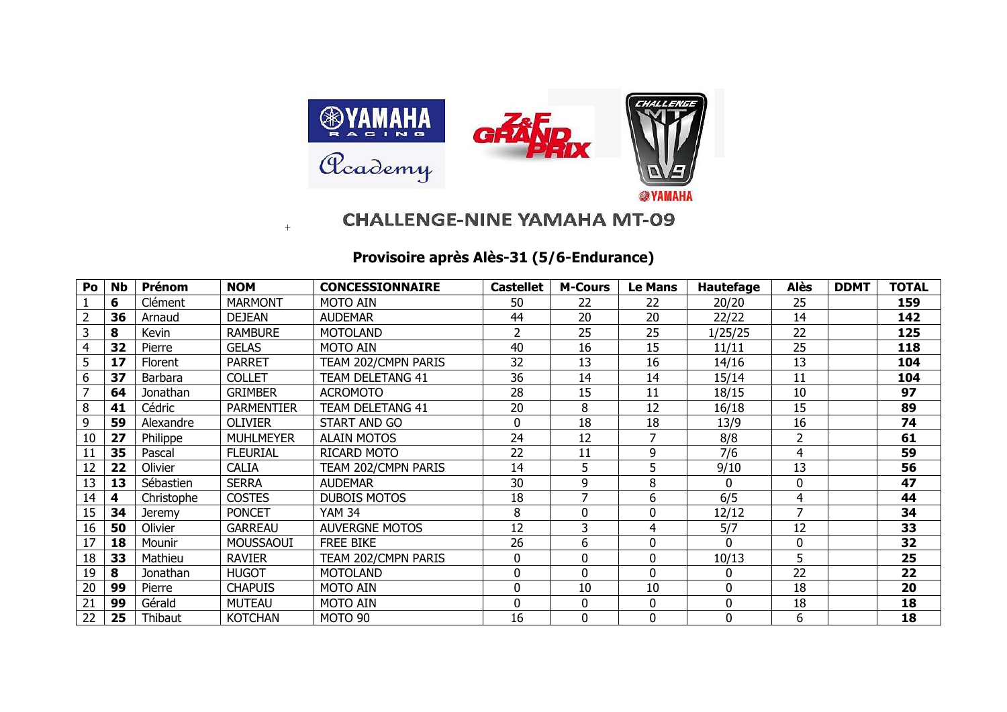

## **CHALLENGE-NINE YAMAHA MT-09**

+

## **Provisoire après Alès-31 (5/6-Endurance)**

| Po             | Nb | Prénom     | <b>NOM</b>        | <b>CONCESSIONNAIRE</b>  | <b>Castellet</b> | <b>M-Cours</b> | <b>Le Mans</b> | Hautefage    | Alès           | <b>DDMT</b> | <b>TOTAL</b> |
|----------------|----|------------|-------------------|-------------------------|------------------|----------------|----------------|--------------|----------------|-------------|--------------|
|                | 6  | Clément    | <b>MARMONT</b>    | <b>MOTO AIN</b>         | 50               | 22             | 22             | 20/20        | 25             |             | 159          |
| $\overline{2}$ | 36 | Arnaud     | <b>DEJEAN</b>     | <b>AUDEMAR</b>          | 44               | 20             | 20             | 22/22        | 14             |             | 142          |
|                | 8  | Kevin      | <b>RAMBURE</b>    | <b>MOTOLAND</b>         |                  | 25             | 25             | 1/25/25      | 22             |             | 125          |
| 4              | 32 | Pierre     | <b>GELAS</b>      | <b>MOTO AIN</b>         | 40               | 16             | 15             | 11/11        | 25             |             | 118          |
| 5              | 17 | Florent    | <b>PARRET</b>     | TEAM 202/CMPN PARIS     | 32               | 13             | 16             | 14/16        | 13             |             | 104          |
| 6              | 37 | Barbara    | <b>COLLET</b>     | <b>TEAM DELETANG 41</b> | 36               | 14             | 14             | 15/14        | 11             |             | 104          |
|                | 64 | Jonathan   | <b>GRIMBER</b>    | <b>ACROMOTO</b>         | 28               | 15             | 11             | 18/15        | 10             |             | 97           |
| 8              | 41 | Cédric     | <b>PARMENTIER</b> | <b>TEAM DELETANG 41</b> | 20               | 8              | 12             | 16/18        | 15             |             | 89           |
| 9              | 59 | Alexandre  | <b>OLIVIER</b>    | START AND GO            | 0                | 18             | 18             | 13/9         | 16             |             | 74           |
| 10             | 27 | Philippe   | <b>MUHLMEYER</b>  | <b>ALAIN MOTOS</b>      | 24               | 12             |                | 8/8          | $\overline{2}$ |             | 61           |
| 11             | 35 | Pascal     | <b>FLEURIAL</b>   | RICARD MOTO             | 22               | 11             | 9              | 7/6          | 4              |             | 59           |
| 12             | 22 | Olivier    | <b>CALIA</b>      | TEAM 202/CMPN PARIS     | 14               | 5              | 5              | 9/10         | 13             |             | 56           |
| 13             | 13 | Sébastien  | <b>SERRA</b>      | <b>AUDEMAR</b>          | 30               | 9              | 8              | $\Omega$     | $\mathbf 0$    |             | 47           |
| 14             | 4  | Christophe | <b>COSTES</b>     | <b>DUBOIS MOTOS</b>     | 18               | 7              | 6.             | 6/5          | $\overline{4}$ |             | 44           |
| 15             | 34 | Jeremy     | <b>PONCET</b>     | <b>YAM 34</b>           | 8                | 0              | $\Omega$       | 12/12        | $\overline{7}$ |             | 34           |
| 16             | 50 | Olivier    | <b>GARREAU</b>    | <b>AUVERGNE MOTOS</b>   | 12               | 3              | 4              | 5/7          | 12             |             | 33           |
| 17             | 18 | Mounir     | <b>MOUSSAOUI</b>  | <b>FREE BIKE</b>        | 26               | 6              | 0              | $\Omega$     | $\mathbf 0$    |             | 32           |
| 18             | 33 | Mathieu    | <b>RAVIER</b>     | TEAM 202/CMPN PARIS     | 0                | 0              | $\Omega$       | 10/13        | 5              |             | 25           |
| 19             | 8  | Jonathan   | <b>HUGOT</b>      | <b>MOTOLAND</b>         | 0                | 0              | $\mathbf{0}$   | 0            | 22             |             | 22           |
| 20             | 99 | Pierre     | <b>CHAPUIS</b>    | <b>MOTO AIN</b>         | 0                | 10             | 10             | 0            | 18             |             | 20           |
| 21             | 99 | Gérald     | <b>MUTEAU</b>     | <b>MOTO AIN</b>         | 0                | 0              | 0              | 0            | 18             |             | 18           |
| 22             | 25 | Thibaut    | <b>KOTCHAN</b>    | MOTO 90                 | 16               | 0              | $\Omega$       | $\mathbf{0}$ | 6              |             | 18           |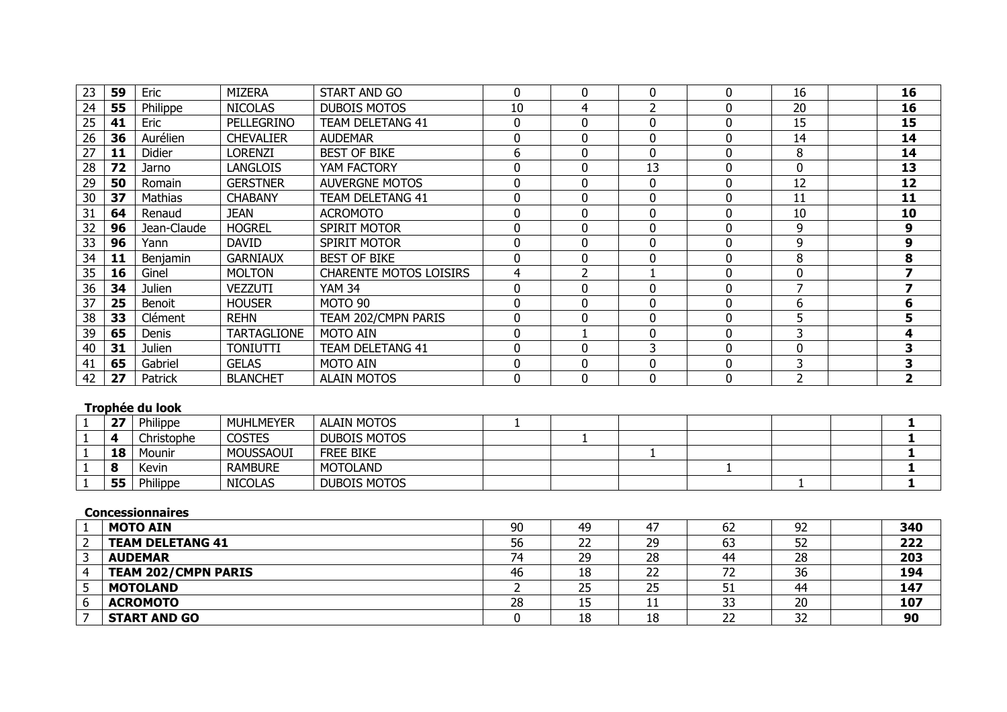| 23 | 59 | Eric           | <b>MIZERA</b>      | START AND GO                  | 0  | 0        | 0           | 0        | 16 | 16 |
|----|----|----------------|--------------------|-------------------------------|----|----------|-------------|----------|----|----|
| 24 | 55 | Philippe       | <b>NICOLAS</b>     | <b>DUBOIS MOTOS</b>           | 10 | 4        |             | 0        | 20 | 16 |
| 25 | 41 | Eric           | PELLEGRINO         | <b>TEAM DELETANG 41</b>       | 0  | 0        | 0           | 0        | 15 | 15 |
| 26 | 36 | Aurélien       | <b>CHEVALIER</b>   | <b>AUDEMAR</b>                | 0  | 0        | 0           | $\Omega$ | 14 | 14 |
| 27 | 11 | Didier         | LORENZI            | <b>BEST OF BIKE</b>           | 6  | 0        | $\Omega$    | 0        | 8  | 14 |
| 28 | 72 | Jarno          | LANGLOIS           | YAM FACTORY                   | 0  | 0        | 13          | 0        | 0  | 13 |
| 29 | 50 | Romain         | <b>GERSTNER</b>    | <b>AUVERGNE MOTOS</b>         | 0  | 0        | $\mathbf 0$ | 0        | 12 | 12 |
| 30 | 37 | <b>Mathias</b> | <b>CHABANY</b>     | <b>TEAM DELETANG 41</b>       | 0  | 0        | 0           | 0        | 11 | 11 |
| 31 | 64 | Renaud         | <b>JEAN</b>        | <b>ACROMOTO</b>               | 0  | 0        | 0           | 0        | 10 | 10 |
| 32 | 96 | Jean-Claude    | <b>HOGREL</b>      | <b>SPIRIT MOTOR</b>           | 0  | 0        | $\mathbf 0$ | 0        | 9  | 9  |
| 33 | 96 | Yann           | <b>DAVID</b>       | <b>SPIRIT MOTOR</b>           | 0  | 0        | 0           | 0        | 9  | 9  |
| 34 | 11 | Benjamin       | <b>GARNIAUX</b>    | <b>BEST OF BIKE</b>           | 0  | $\Omega$ | $\Omega$    | 0        | 8  | 8  |
| 35 | 16 | Ginel          | <b>MOLTON</b>      | <b>CHARENTE MOTOS LOISIRS</b> | 4  |          |             | 0        | 0  |    |
| 36 | 34 | Julien         | <b>VEZZUTI</b>     | <b>YAM 34</b>                 | 0  | 0        | $\Omega$    | $\Omega$ |    |    |
| 37 | 25 | Benoit         | <b>HOUSER</b>      | MOTO 90                       | 0  | $\Omega$ | 0           | 0        | 6  | 6  |
| 38 | 33 | Clément        | <b>REHN</b>        | TEAM 202/CMPN PARIS           | 0  |          | 0           | 0        |    |    |
| 39 | 65 | Denis          | <b>TARTAGLIONE</b> | <b>MOTO AIN</b>               | 0  |          | $\mathbf 0$ | 0        | 3  |    |
| 40 | 31 | Julien         | <b>TONIUTTI</b>    | <b>TEAM DELETANG 41</b>       | 0  | O        | 3           | 0        | 0  |    |
| 41 | 65 | Gabriel        | <b>GELAS</b>       | MOTO AIN                      | 0  | $\Omega$ | 0           | 0        | 3  |    |
| 42 | 27 | Patrick        | <b>BLANCHET</b>    | <b>ALAIN MOTOS</b>            |    |          | 0           | O        |    |    |

## **Trophée du look**

| דר<br>47         | Philippe   | <b>MUHLMEYER</b> | <b>ALAIN MOTOS</b>  |  |  |  |  |
|------------------|------------|------------------|---------------------|--|--|--|--|
| $\boldsymbol{A}$ | Christophe | <b>COSTES</b>    | DUBOIS MOTOS        |  |  |  |  |
| 18 <sup>1</sup>  | Mounir     | MOUSSAOUI        | <b>FREE BIKE</b>    |  |  |  |  |
|                  | Kevin      | <b>RAMBURE</b>   | <b>MOTOLAND</b>     |  |  |  |  |
| 55               | Philippe   | <b>NICOLAS</b>   | <b>DUBOIS MOTOS</b> |  |  |  |  |

## **Concessionnaires**

| <b>MOTO AIN</b>            | 90 | 49       | 47 | 62 | 92 | 340 |
|----------------------------|----|----------|----|----|----|-----|
| <b>TEAM DELETANG 41</b>    | 56 | つつ<br>22 | 29 | 63 | 52 | 222 |
| <b>AUDEMAR</b>             |    | 29       | 28 | 44 | 28 | 203 |
| <b>TEAM 202/CMPN PARIS</b> | 46 | 18       | 22 | 72 | 36 | 194 |
| <b>MOTOLAND</b>            |    | 25       | 25 | 51 | 44 | 147 |
| <b>ACROMOTO</b>            | 28 | 15<br>ᆚ  | ᆠᆂ | 33 | 20 | 107 |
| <b>START AND GO</b>        |    | 18       | 18 | 22 | 32 | 90  |